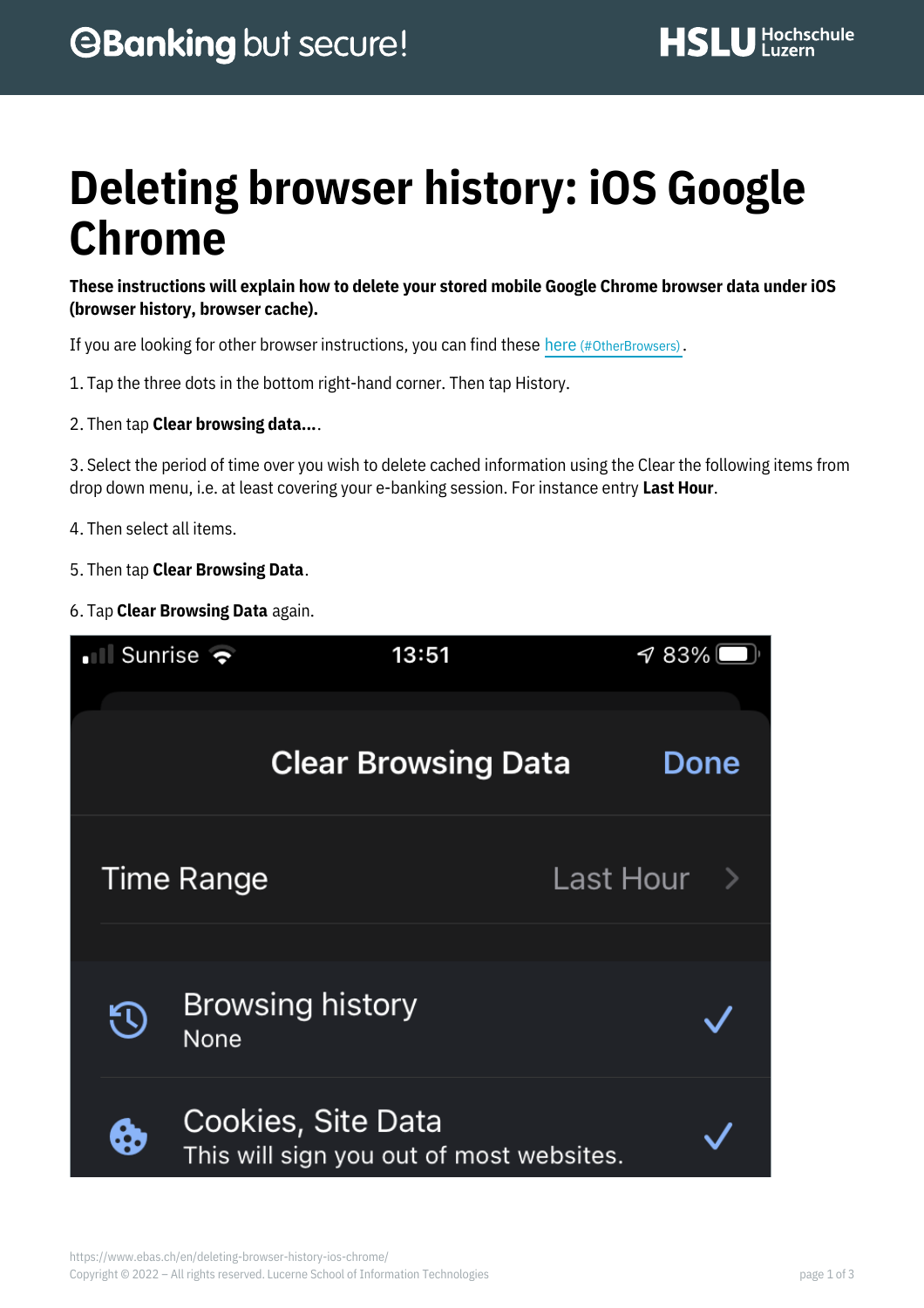# **Deleting browser history: iOS Google Chrome**

**These instructions will explain how to delete your stored mobile Google Chrome browser data under iOS (browser history, browser cache).**

If you are looking for other browser instructions, you can find these here (#OtherBrowsers).

- 1. Tap the three dots in the bottom right-hand corner. Then tap History.
- 2. Then tap **Clear browsing data...**.

3. Select the period of time over you wish to delete cached information using the Clear the following items from drop down menu, i.e. at least covering your e-banking session. For instance entry **Last Hour**.

- 4. Then select all items.
- 5. Then tap **Clear Browsing Data**.
- 6. Tap **Clear Browsing Data** again.

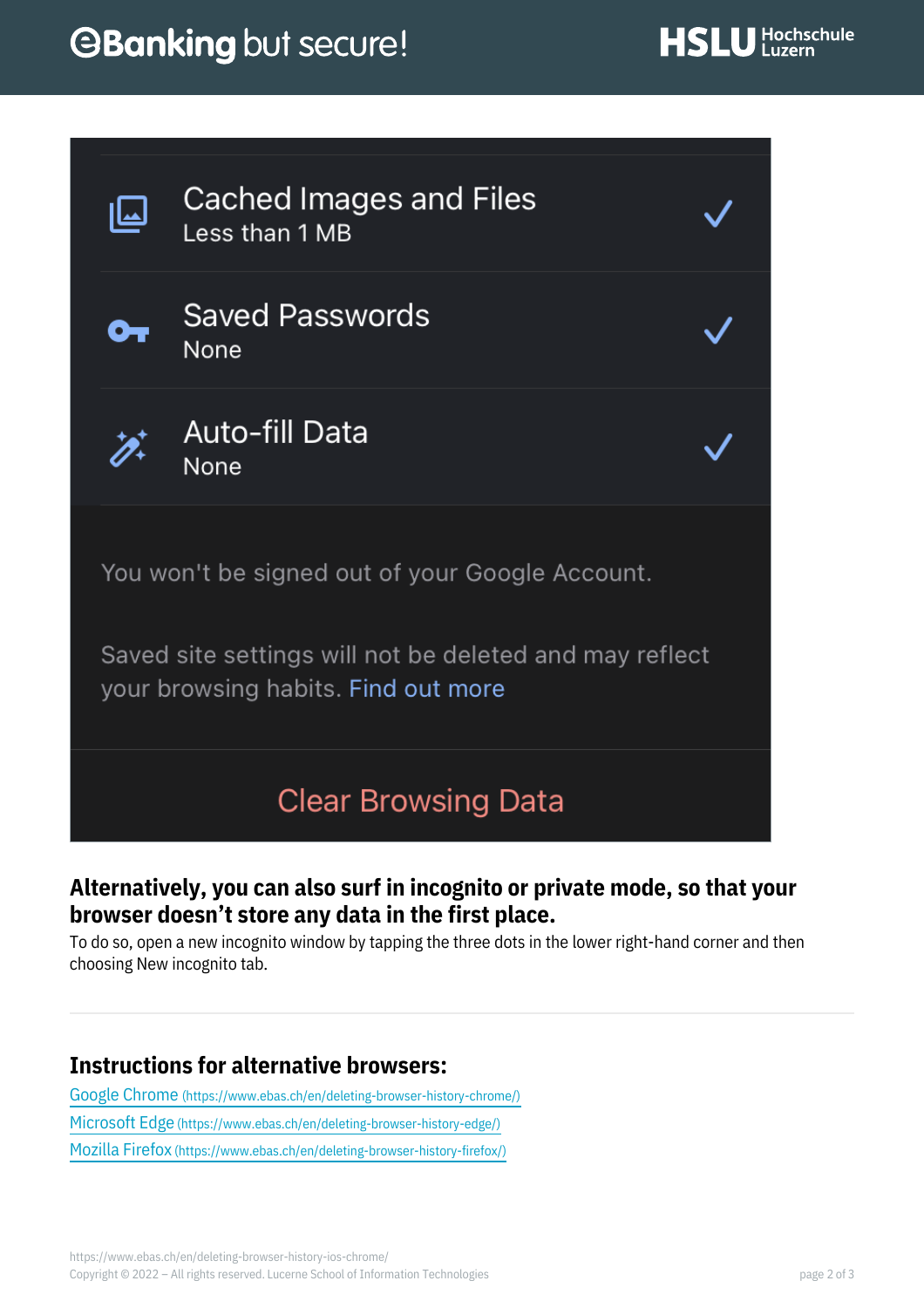## *<u>OBanking but secure!</u>*



**Cached Images and Files** Less than 1 MB



**Saved Passwords** None



Auto-fill Data None

You won't be signed out of your Google Account.

Saved site settings will not be deleted and may reflect your browsing habits. Find out more

### **Clear Browsing Data**

#### **Alternatively, you can also surf in incognito or private mode, so that your browser doesn't store any data in the first place.**

To do so, open a new incognito window by tapping the three dots in the lower right-hand corner and then choosing New incognito tab.

### **Instructions for alternative browsers:**

Google Chrome [\(https://www.ebas.ch/en/deleting-browser-history-chrome/\)](https://www.ebas.ch/en/deleting-browser-history-chrome/) Microsoft Edge [\(https://www.ebas.ch/en/deleting-browser-history-edge/\)](https://www.ebas.ch/en/deleting-browser-history-edge/) Mozilla Firefox [\(https://www.ebas.ch/en/deleting-browser-history-firefox/\)](https://www.ebas.ch/en/deleting-browser-history-firefox/)